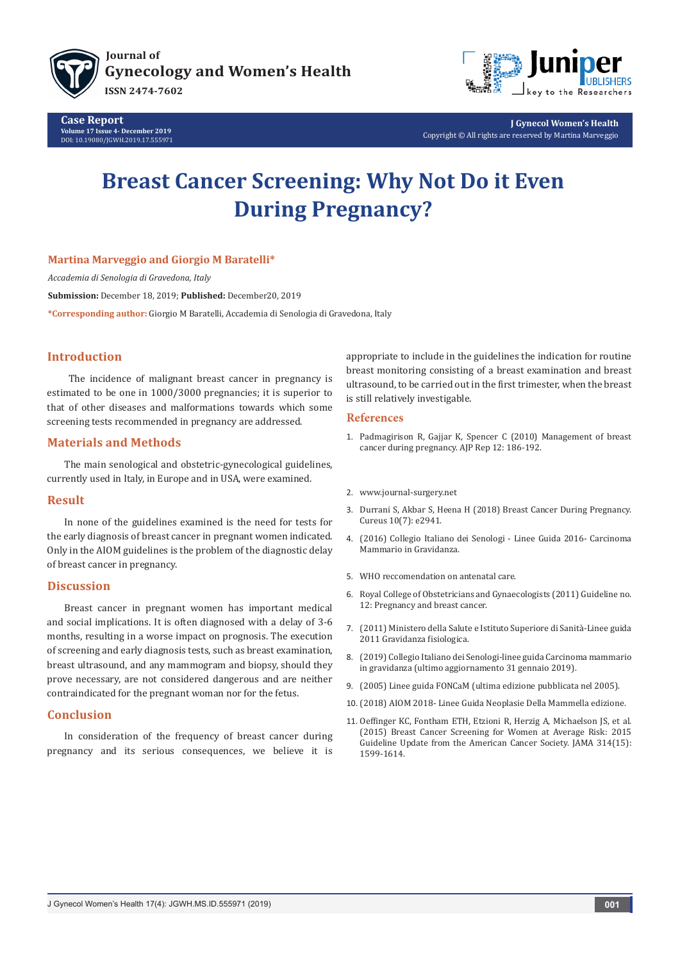

**Case Report Volume 17 Issue 4- December 2019** DOI: [10.19080/JGWH.2019.17.555971](http://dox.doi.org/10.19080/JGWH.2019.17.555971)



**J Gynecol Women's Health** Copyright © All rights are reserved by Martina Marveggio

# **Breast Cancer Screening: Why Not Do it Even During Pregnancy?**

### **Martina Marveggio and Giorgio M Baratelli\***

*Accademia di Senologia di Gravedona, Italy*

**Submission:** December 18, 2019; **Published:** December20, 2019

**\*Corresponding author:** Giorgio M Baratelli, Accademia di Senologia di Gravedona, Italy

## **Introduction**

 The incidence of malignant breast cancer in pregnancy is estimated to be one in 1000/3000 pregnancies; it is superior to that of other diseases and malformations towards which some screening tests recommended in pregnancy are addressed.

### **Materials and Methods**

The main senological and obstetric-gynecological guidelines, currently used in Italy, in Europe and in USA, were examined.

### **Result**

In none of the guidelines examined is the need for tests for the early diagnosis of breast cancer in pregnant women indicated. Only in the AIOM guidelines is the problem of the diagnostic delay of breast cancer in pregnancy.

### **Discussion**

Breast cancer in pregnant women has important medical and social implications. It is often diagnosed with a delay of 3-6 months, resulting in a worse impact on prognosis. The execution of screening and early diagnosis tests, such as breast examination, breast ultrasound, and any mammogram and biopsy, should they prove necessary, are not considered dangerous and are neither contraindicated for the pregnant woman nor for the fetus.

## **Conclusion**

In consideration of the frequency of breast cancer during pregnancy and its serious consequences, we believe it is appropriate to include in the guidelines the indication for routine breast monitoring consisting of a breast examination and breast ultrasound, to be carried out in the first trimester, when the breast is still relatively investigable.

#### **References**

- 1. [Padmagirison R, Gajjar K, Spencer C \(2010\) Management of breast](https://obgyn.onlinelibrary.wiley.com/doi/pdf/10.1576/toag.12.3.186.27601) [cancer during pregnancy. AJP Rep 12: 186-192.](https://obgyn.onlinelibrary.wiley.com/doi/pdf/10.1576/toag.12.3.186.27601)
- 2. [www.journal-surgery.net](http://www.journal-surgery.net)
- 3. [Durrani S, Akbar S, Heena H \(2018\) Breast Cancer During Pregnancy.](https://www.ncbi.nlm.nih.gov/pubmed/30202672) [Cureus 10\(7\): e2941.](https://www.ncbi.nlm.nih.gov/pubmed/30202672)
- 4. [\(2016\) Collegio Italiano dei Senologi Linee Guida 2016- Carcinoma](https://www.senologia.it/collegio-dei-senologi/) [Mammario in Gravidanza.](https://www.senologia.it/collegio-dei-senologi/)
- 5. [WHO reccomendation on antenatal care.](https://apps.who.int/iris/bitstream/handle/10665/250796/9789241549912-eng.pdf;jsessionid=453D0FAAFF4FD6F2DE757BC419AC1682?sequence=1)
- 6. [Royal College of Obstetricians and Gynaecologists \(2011\) Guideline no.](https://www.rcog.org.uk/en/guidelines-research-services/guidelines/gtg12/) [12: Pregnancy and breast cancer.](https://www.rcog.org.uk/en/guidelines-research-services/guidelines/gtg12/)
- 7. (2011) Ministero della Salute e Istituto Superiore di Sanità-Linee guida 2011 Gravidanza fisiologica.
- 8. (2019) Collegio Italiano dei Senologi-linee guida Carcinoma mammario in gravidanza (ultimo aggiornamento 31 gennaio 2019).
- 9. (2005) Linee guida FONCaM (ultima edizione pubblicata nel 2005).
- 10. (2018) AIOM 2018- Linee Guida Neoplasie Della Mammella edizione.
- 11. [Oeffinger KC, Fontham ETH, Etzioni R, Herzig A, Michaelson JS, et al.](https://www.ncbi.nlm.nih.gov/pubmed/26501536) [\(2015\) Breast Cancer Screening for Women at Average Risk:](https://www.ncbi.nlm.nih.gov/pubmed/26501536) 2015 [Guideline Update from the American Cancer Society.](https://www.ncbi.nlm.nih.gov/pubmed/26501536) JAMA 314(15): [1599-1614.](https://www.ncbi.nlm.nih.gov/pubmed/26501536)